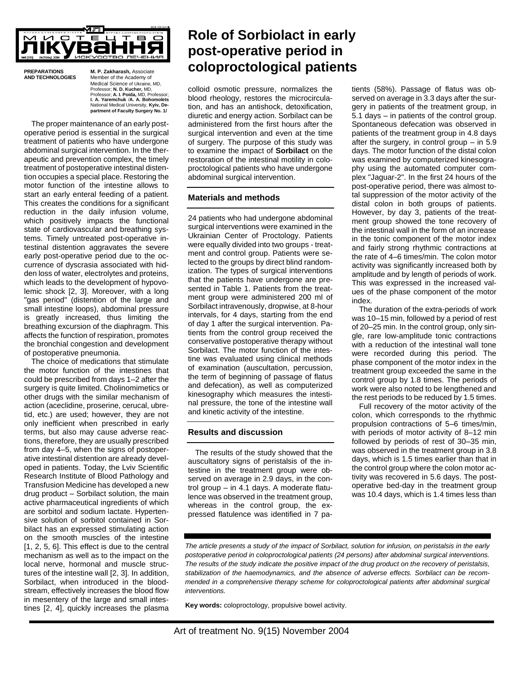

**PREPARATIONS M. P. Zakharash,** Associate **Member of the Academy of** Medical Science of Ukraine, MD, Professor; **N. D. Kucher,** MD, Professor; **A. I. Poida,** MD, Professor; **I. A. Yaremchuk** /**A. A. Bohomolets** National Medical University, **Kyiv, De-partment of Faculty Surgery No. 1/**

The proper maintenance of an early postoperative period is essential in the surgical treatment of patients who have undergone abdominal surgical intervention. In the therapeutic and prevention complex, the timely treatment of postoperative intestinal distention occupies a special place. Restoring the motor function of the intestine allows to start an early enteral feeding of a patient. This creates the conditions for a significant reduction in the daily infusion volume, which positively impacts the functional state of cardiovascular and breathing systems. Timely untreated post-operative intestinal distention aggravates the severe early post-operative period due to the occurrence of dyscrasia associated with hidden loss of water, electrolytes and proteins, which leads to the development of hypovolemic shock [2, 3]. Moreover, with a long "gas period" (distention of the large and small intestine loops), abdominal pressure is greatly increased, thus limiting the breathing excursion of the diaphragm. This affects the function of respiration, promotes the bronchial congestion and development of postoperative pneumonia.

The choice of medications that stimulate the motor function of the intestines that could be prescribed from days 1–2 after the surgery is quite limited. Cholinomimetics or other drugs with the similar mechanism of action (aceclidine, proserine, cerucal, ubretid, etc.) are used; however, they are not only inefficient when prescribed in early terms, but also may cause adverse reactions, therefore, they are usually prescribed from day 4–5, when the signs of postoperative intestinal distention are already developed in patients. Today, the Lviv Scientific Research Institute of Blood Pathology and Transfusion Medicine has developed a new drug product – Sorbilact solution, the main active pharmaceutical ingredients of which are sorbitol and sodium lactate. Hypertensive solution of sorbitol contained in Sorbilact has an expressed stimulating action on the smooth muscles of the intestine [1, 2, 5, 6]. This effect is due to the central mechanism as well as to the impact on the local nerve, hormonal and muscle structures of the intestine wall [2, 3]. In addition, Sorbilact, when introduced in the bloodstream, effectively increases the blood flow in mesentery of the large and small intestines [2, 4], quickly increases the plasma

# **Role of Sorbiolact in early post-operative period in coloproctological patients**

colloid osmotic pressure, normalizes the blood rheology, restores the microcirculation, and has an antishock, detoxification, diuretic and energy action. Sorbilact can be administered from the first hours after the surgical intervention and even at the time of surgery. The purpose of this study was to examine the impact of **Sorbilact** on the restoration of the intestinal motility in coloproctological patients who have undergone abdominal surgical intervention.

## **Materials and methods**

24 patients who had undergone abdominal surgical interventions were examined in the Ukrainian Center of Proctology. Patients were equally divided into two groups - treatment and control group. Patients were selected to the groups by direct blind randomization. The types of surgical interventions that the patients have undergone are presented in Table 1. Patients from the treatment group were administered 200 ml of Sorbilact intravenously, dropwise, at 8-hour intervals, for 4 days, starting from the end of day 1 after the surgical intervention. Patients from the control group received the conservative postoperative therapy without Sorbilact. The motor function of the intestine was evaluated using clinical methods of examination (auscultation, percussion, the term of beginning of passage of flatus and defecation), as well as computerized kinesography which measures the intestinal pressure, the tone of the intestine wall and kinetic activity of the intestine.

## **Results and discussion**

The results of the study showed that the auscultatory signs of peristalsis of the intestine in the treatment group were observed on average in 2.9 days, in the control group – in 4.1 days. A moderate flatulence was observed in the treatment group, whereas in the control group, the expressed flatulence was identified in 7 patients (58%). Passage of flatus was observed on average in 3.3 days after the surgery in patients of the treatment group, in 5.1 days – in patients of the control group. Spontaneous defecation was observed in patients of the treatment group in 4.8 days after the surgery, in control group – in 5.9 days. The motor function of the distal colon was examined by computerized kinesography using the automated computer complex "Jaguar-2". In the first 24 hours of the post-operative period, there was almost total suppression of the motor activity of the distal colon in both groups of patients. However, by day 3, patients of the treatment group showed the tone recovery of the intestinal wall in the form of an increase in the tonic component of the motor index and fairly strong rhythmic contractions at the rate of 4–6 times/min. The colon motor activity was significantly increased both by amplitude and by length of periods of work. This was expressed in the increased values of the phase component of the motor index.

The duration of the extra-periods of work was 10–15 min, followed by a period of rest of 20–25 min. In the control group, only single, rare low-amplitude tonic contractions with a reduction of the intestinal wall tone were recorded during this period. The phase component of the motor index in the treatment group exceeded the same in the control group by 1.8 times. The periods of work were also noted to be lengthened and the rest periods to be reduced by 1.5 times.

Full recovery of the motor activity of the colon, which corresponds to the rhythmic propulsion contractions of 5–6 times/min, with periods of motor activity of 8–12 min followed by periods of rest of 30–35 min, was observed in the treatment group in 3.8 days, which is 1.5 times earlier than that in the control group where the colon motor activity was recovered in 5.6 days. The postoperative bed-day in the treatment group was 10.4 days, which is 1.4 times less than

*The article presents a study of the impact of Sorbilact, solution for infusion, on peristalsis in the early postoperative period in coloproctological patients (24 persons) after abdominal surgical interventions. The results of the study indicate the positive impact of the drug product on the recovery of peristalsis, stabilization of the haemodynamics, and the absence of adverse effects. Sorbilact can be recommended in a comprehensive therapy scheme for coloproctological patients after abdominal surgical interventions.*

**Key words:** coloproctology, propulsive bowel activity.